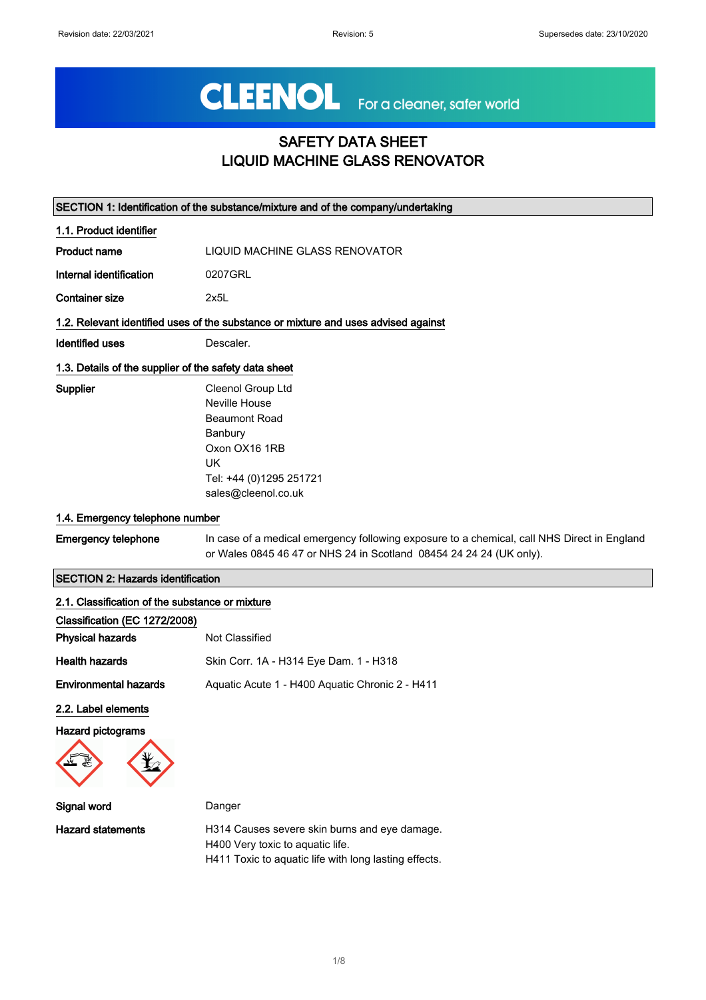# CLEENOL For a cleaner, safer world

## SAFETY DATA SHEET LIQUID MACHINE GLASS RENOVATOR

|                                                       | SECTION 1: Identification of the substance/mixture and of the company/undertaking                                                                                  |  |
|-------------------------------------------------------|--------------------------------------------------------------------------------------------------------------------------------------------------------------------|--|
| 1.1. Product identifier                               |                                                                                                                                                                    |  |
| Product name                                          | LIQUID MACHINE GLASS RENOVATOR                                                                                                                                     |  |
| Internal identification                               | 0207GRL                                                                                                                                                            |  |
| <b>Container size</b>                                 | 2x5L                                                                                                                                                               |  |
|                                                       | 1.2. Relevant identified uses of the substance or mixture and uses advised against                                                                                 |  |
| <b>Identified uses</b>                                | Descaler.                                                                                                                                                          |  |
| 1.3. Details of the supplier of the safety data sheet |                                                                                                                                                                    |  |
| <b>Supplier</b>                                       | <b>Cleenol Group Ltd</b>                                                                                                                                           |  |
|                                                       | Neville House                                                                                                                                                      |  |
|                                                       | <b>Beaumont Road</b>                                                                                                                                               |  |
|                                                       | Banbury                                                                                                                                                            |  |
|                                                       | Oxon OX16 1RB                                                                                                                                                      |  |
|                                                       | UK                                                                                                                                                                 |  |
|                                                       | Tel: +44 (0)1295 251721                                                                                                                                            |  |
|                                                       | sales@cleenol.co.uk                                                                                                                                                |  |
| 1.4. Emergency telephone number                       |                                                                                                                                                                    |  |
| <b>Emergency telephone</b>                            | In case of a medical emergency following exposure to a chemical, call NHS Direct in England<br>or Wales 0845 46 47 or NHS 24 in Scotland 08454 24 24 24 (UK only). |  |
| <b>SECTION 2: Hazards identification</b>              |                                                                                                                                                                    |  |

| 2.1. Classification of the substance or mixture<br>Classification (EC 1272/2008) |                                                 |
|----------------------------------------------------------------------------------|-------------------------------------------------|
| <b>Physical hazards</b>                                                          | Not Classified                                  |
| <b>Health hazards</b>                                                            | Skin Corr. 1A - H314 Eye Dam. 1 - H318          |
| <b>Environmental hazards</b>                                                     | Aguatic Acute 1 - H400 Aguatic Chronic 2 - H411 |
| 2.2. Label elements                                                              |                                                 |
| <b>Hazard pictograms</b>                                                         |                                                 |



| Signal word              | Danger                                                                                                                                     |
|--------------------------|--------------------------------------------------------------------------------------------------------------------------------------------|
| <b>Hazard statements</b> | H314 Causes severe skin burns and eye damage.<br>H400 Very toxic to aquatic life.<br>H411 Toxic to aguatic life with long lasting effects. |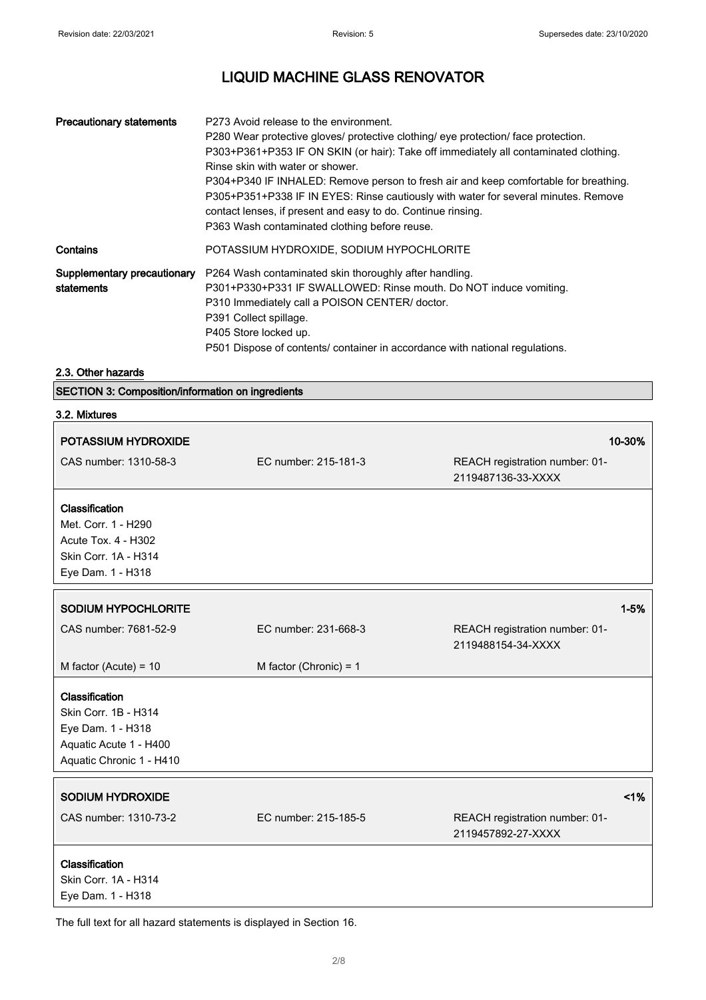| <b>Precautionary statements</b>           | P273 Avoid release to the environment.<br>P280 Wear protective gloves/ protective clothing/ eye protection/ face protection.<br>P303+P361+P353 IF ON SKIN (or hair): Take off immediately all contaminated clothing.<br>Rinse skin with water or shower.<br>P304+P340 IF INHALED: Remove person to fresh air and keep comfortable for breathing.<br>P305+P351+P338 IF IN EYES: Rinse cautiously with water for several minutes. Remove<br>contact lenses, if present and easy to do. Continue rinsing.<br>P363 Wash contaminated clothing before reuse. |
|-------------------------------------------|---------------------------------------------------------------------------------------------------------------------------------------------------------------------------------------------------------------------------------------------------------------------------------------------------------------------------------------------------------------------------------------------------------------------------------------------------------------------------------------------------------------------------------------------------------|
| Contains                                  | POTASSIUM HYDROXIDE, SODIUM HYPOCHLORITE                                                                                                                                                                                                                                                                                                                                                                                                                                                                                                                |
| Supplementary precautionary<br>statements | P264 Wash contaminated skin thoroughly after handling.<br>P301+P330+P331 IF SWALLOWED: Rinse mouth. Do NOT induce vomiting.<br>P310 Immediately call a POISON CENTER/ doctor.<br>P391 Collect spillage.<br>P405 Store locked up.<br>P501 Dispose of contents/ container in accordance with national regulations.                                                                                                                                                                                                                                        |

### 2.3. Other hazards

| <b>SECTION 3: Composition/information on ingredients</b> |  |  |
|----------------------------------------------------------|--|--|
|----------------------------------------------------------|--|--|

| 3.2. Mixtures                                                                                                     |                          |                                                      |
|-------------------------------------------------------------------------------------------------------------------|--------------------------|------------------------------------------------------|
| POTASSIUM HYDROXIDE                                                                                               |                          | 10-30%                                               |
| CAS number: 1310-58-3                                                                                             | EC number: 215-181-3     | REACH registration number: 01-<br>2119487136-33-XXXX |
| Classification<br>Met. Corr. 1 - H290<br>Acute Tox. 4 - H302<br>Skin Corr. 1A - H314<br>Eye Dam. 1 - H318         |                          |                                                      |
| <b>SODIUM HYPOCHLORITE</b>                                                                                        |                          | $1 - 5%$                                             |
| CAS number: 7681-52-9                                                                                             | EC number: 231-668-3     | REACH registration number: 01-<br>2119488154-34-XXXX |
| M factor (Acute) = $10$                                                                                           | M factor (Chronic) = $1$ |                                                      |
| Classification<br>Skin Corr. 1B - H314<br>Eye Dam. 1 - H318<br>Aquatic Acute 1 - H400<br>Aquatic Chronic 1 - H410 |                          |                                                      |
| SODIUM HYDROXIDE                                                                                                  |                          | 1%                                                   |
| CAS number: 1310-73-2                                                                                             | EC number: 215-185-5     | REACH registration number: 01-<br>2119457892-27-XXXX |
| Classification<br>Skin Corr. 1A - H314<br>Eye Dam. 1 - H318                                                       |                          |                                                      |

The full text for all hazard statements is displayed in Section 16.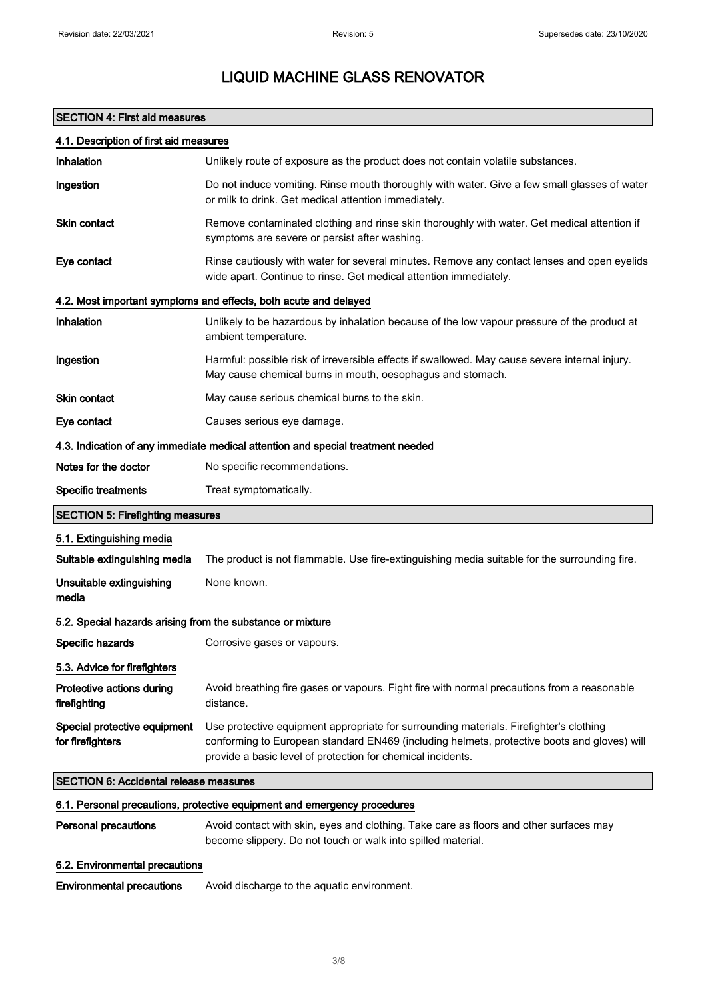## SECTION 4: First aid measures

| 4.1. Description of first aid measures                                   |                                                                                                                                                                                                                                                      |  |
|--------------------------------------------------------------------------|------------------------------------------------------------------------------------------------------------------------------------------------------------------------------------------------------------------------------------------------------|--|
| Inhalation                                                               | Unlikely route of exposure as the product does not contain volatile substances.                                                                                                                                                                      |  |
| Ingestion                                                                | Do not induce vomiting. Rinse mouth thoroughly with water. Give a few small glasses of water<br>or milk to drink. Get medical attention immediately.                                                                                                 |  |
| <b>Skin contact</b>                                                      | Remove contaminated clothing and rinse skin thoroughly with water. Get medical attention if<br>symptoms are severe or persist after washing.                                                                                                         |  |
| Eye contact                                                              | Rinse cautiously with water for several minutes. Remove any contact lenses and open eyelids<br>wide apart. Continue to rinse. Get medical attention immediately.                                                                                     |  |
|                                                                          | 4.2. Most important symptoms and effects, both acute and delayed                                                                                                                                                                                     |  |
| Inhalation                                                               | Unlikely to be hazardous by inhalation because of the low vapour pressure of the product at<br>ambient temperature.                                                                                                                                  |  |
| Ingestion                                                                | Harmful: possible risk of irreversible effects if swallowed. May cause severe internal injury.<br>May cause chemical burns in mouth, oesophagus and stomach.                                                                                         |  |
| Skin contact                                                             | May cause serious chemical burns to the skin.                                                                                                                                                                                                        |  |
| Eye contact                                                              | Causes serious eye damage.                                                                                                                                                                                                                           |  |
|                                                                          | 4.3. Indication of any immediate medical attention and special treatment needed                                                                                                                                                                      |  |
| Notes for the doctor                                                     | No specific recommendations.                                                                                                                                                                                                                         |  |
| <b>Specific treatments</b>                                               | Treat symptomatically.                                                                                                                                                                                                                               |  |
| <b>SECTION 5: Firefighting measures</b>                                  |                                                                                                                                                                                                                                                      |  |
| 5.1. Extinguishing media                                                 |                                                                                                                                                                                                                                                      |  |
| Suitable extinguishing media                                             | The product is not flammable. Use fire-extinguishing media suitable for the surrounding fire.                                                                                                                                                        |  |
| Unsuitable extinguishing<br>media                                        | None known.                                                                                                                                                                                                                                          |  |
| 5.2. Special hazards arising from the substance or mixture               |                                                                                                                                                                                                                                                      |  |
| Specific hazards                                                         | Corrosive gases or vapours.                                                                                                                                                                                                                          |  |
| 5.3. Advice for firefighters                                             |                                                                                                                                                                                                                                                      |  |
| Protective actions during<br>firefighting                                | Avoid breathing fire gases or vapours. Fight fire with normal precautions from a reasonable<br>distance.                                                                                                                                             |  |
| Special protective equipment<br>for firefighters                         | Use protective equipment appropriate for surrounding materials. Firefighter's clothing<br>conforming to European standard EN469 (including helmets, protective boots and gloves) will<br>provide a basic level of protection for chemical incidents. |  |
| <b>SECTION 6: Accidental release measures</b>                            |                                                                                                                                                                                                                                                      |  |
| 6.1. Personal precautions, protective equipment and emergency procedures |                                                                                                                                                                                                                                                      |  |
| <b>Personal precautions</b>                                              | Avoid contact with skin, eyes and clothing. Take care as floors and other surfaces may<br>become slippery. Do not touch or walk into spilled material.                                                                                               |  |
| 6.2. Environmental precautions                                           |                                                                                                                                                                                                                                                      |  |
| <b>Environmental precautions</b>                                         | Avoid discharge to the aquatic environment.                                                                                                                                                                                                          |  |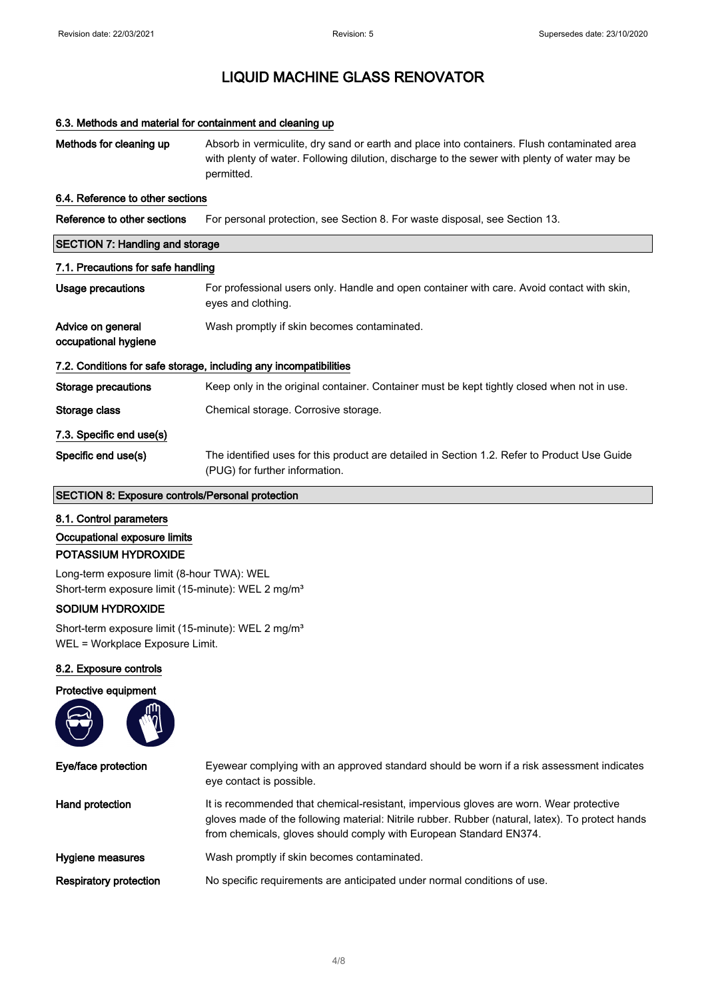#### 6.3. Methods and material for containment and cleaning up

Methods for cleaning up Absorb in vermiculite, dry sand or earth and place into containers. Flush contaminated area with plenty of water. Following dilution, discharge to the sewer with plenty of water may be permitted.

#### 6.4. Reference to other sections

| Reference to other sections | For personal protection, see Section 8. For waste disposal, see Section 13. |
|-----------------------------|-----------------------------------------------------------------------------|
|-----------------------------|-----------------------------------------------------------------------------|

| <b>SECTION 7: Handling and storage</b><br>7.1. Precautions for safe handling |                                                                                                                                |  |
|------------------------------------------------------------------------------|--------------------------------------------------------------------------------------------------------------------------------|--|
|                                                                              |                                                                                                                                |  |
| Advice on general<br>occupational hygiene                                    | Wash promptly if skin becomes contaminated.                                                                                    |  |
|                                                                              | 7.2. Conditions for safe storage, including any incompatibilities                                                              |  |
| <b>Storage precautions</b>                                                   | Keep only in the original container. Container must be kept tightly closed when not in use.                                    |  |
| Storage class                                                                | Chemical storage. Corrosive storage.                                                                                           |  |
| 7.3. Specific end use(s)                                                     |                                                                                                                                |  |
| Specific end use(s)                                                          | The identified uses for this product are detailed in Section 1.2. Refer to Product Use Guide<br>(PUG) for further information. |  |

#### SECTION 8: Exposure controls/Personal protection

- 8.1. Control parameters
- Occupational exposure limits

#### POTASSIUM HYDROXIDE

Long-term exposure limit (8-hour TWA): WEL Short-term exposure limit (15-minute): WEL 2 mg/m<sup>3</sup>

#### SODIUM HYDROXIDE

Short-term exposure limit (15-minute): WEL 2 mg/m<sup>3</sup> WEL = Workplace Exposure Limit.

#### 8.2. Exposure controls

# Protective equipment

| Eye/face protection           | Eyewear complying with an approved standard should be worn if a risk assessment indicates<br>eye contact is possible.                                                                                                                                            |
|-------------------------------|------------------------------------------------------------------------------------------------------------------------------------------------------------------------------------------------------------------------------------------------------------------|
| Hand protection               | It is recommended that chemical-resistant, impervious gloves are worn. Wear protective<br>gloves made of the following material: Nitrile rubber. Rubber (natural, latex). To protect hands<br>from chemicals, gloves should comply with European Standard EN374. |
| Hygiene measures              | Wash promptly if skin becomes contaminated.                                                                                                                                                                                                                      |
| <b>Respiratory protection</b> | No specific requirements are anticipated under normal conditions of use.                                                                                                                                                                                         |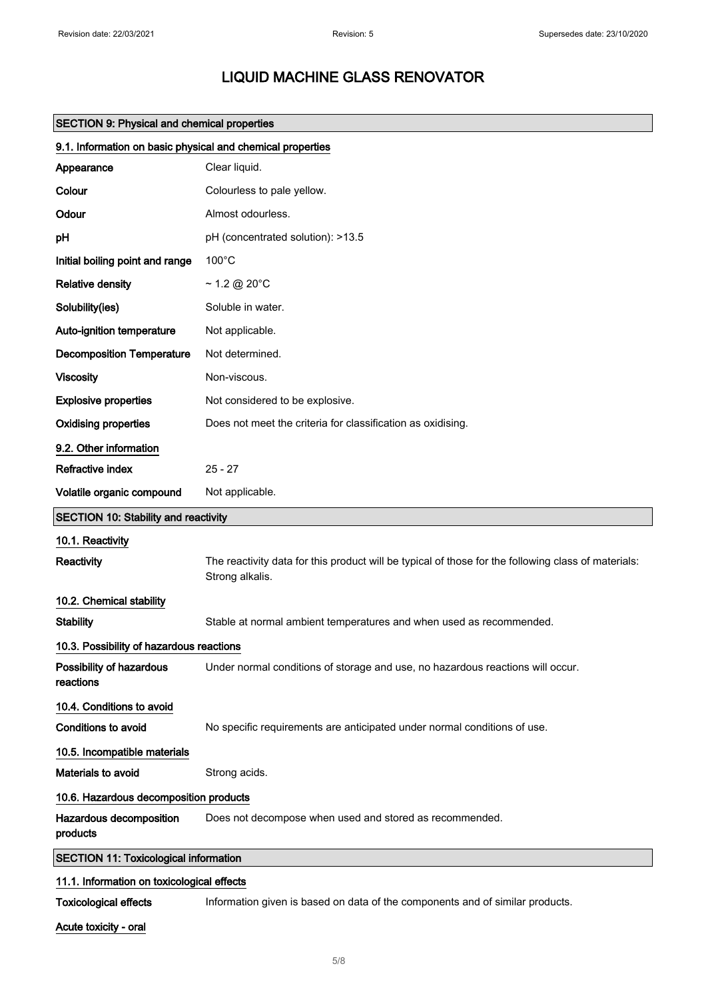| <b>SECTION 9: Physical and chemical properties</b>         |                                                                                                                        |  |
|------------------------------------------------------------|------------------------------------------------------------------------------------------------------------------------|--|
| 9.1. Information on basic physical and chemical properties |                                                                                                                        |  |
| Appearance                                                 | Clear liquid.                                                                                                          |  |
| Colour                                                     | Colourless to pale yellow.                                                                                             |  |
| Odour                                                      | Almost odourless.                                                                                                      |  |
| рH                                                         | pH (concentrated solution): >13.5                                                                                      |  |
| Initial boiling point and range                            | $100^{\circ}$ C                                                                                                        |  |
| <b>Relative density</b>                                    | $\sim$ 1.2 @ 20°C                                                                                                      |  |
| Solubility(ies)                                            | Soluble in water.                                                                                                      |  |
| Auto-ignition temperature                                  | Not applicable.                                                                                                        |  |
| <b>Decomposition Temperature</b>                           | Not determined.                                                                                                        |  |
| <b>Viscosity</b>                                           | Non-viscous.                                                                                                           |  |
| <b>Explosive properties</b>                                | Not considered to be explosive.                                                                                        |  |
| <b>Oxidising properties</b>                                | Does not meet the criteria for classification as oxidising.                                                            |  |
| 9.2. Other information                                     |                                                                                                                        |  |
| Refractive index                                           | $25 - 27$                                                                                                              |  |
| Volatile organic compound                                  | Not applicable.                                                                                                        |  |
| <b>SECTION 10: Stability and reactivity</b>                |                                                                                                                        |  |
| 10.1. Reactivity                                           |                                                                                                                        |  |
| <b>Reactivity</b>                                          | The reactivity data for this product will be typical of those for the following class of materials:<br>Strong alkalis. |  |
| 10.2. Chemical stability                                   |                                                                                                                        |  |
| <b>Stability</b>                                           | Stable at normal ambient temperatures and when used as recommended.                                                    |  |
| 10.3. Possibility of hazardous reactions                   |                                                                                                                        |  |
| Possibility of hazardous<br>reactions                      | Under normal conditions of storage and use, no hazardous reactions will occur.                                         |  |
| 10.4. Conditions to avoid                                  |                                                                                                                        |  |
| Conditions to avoid                                        | No specific requirements are anticipated under normal conditions of use.                                               |  |
| 10.5. Incompatible materials                               |                                                                                                                        |  |
| Materials to avoid                                         | Strong acids.                                                                                                          |  |
|                                                            | 10.6. Hazardous decomposition products                                                                                 |  |
| Hazardous decomposition<br>products                        | Does not decompose when used and stored as recommended.                                                                |  |
| <b>SECTION 11: Toxicological information</b>               |                                                                                                                        |  |
| 11.1. Information on toxicological effects                 |                                                                                                                        |  |
| <b>Toxicological effects</b>                               | Information given is based on data of the components and of similar products.                                          |  |

Acute toxicity - oral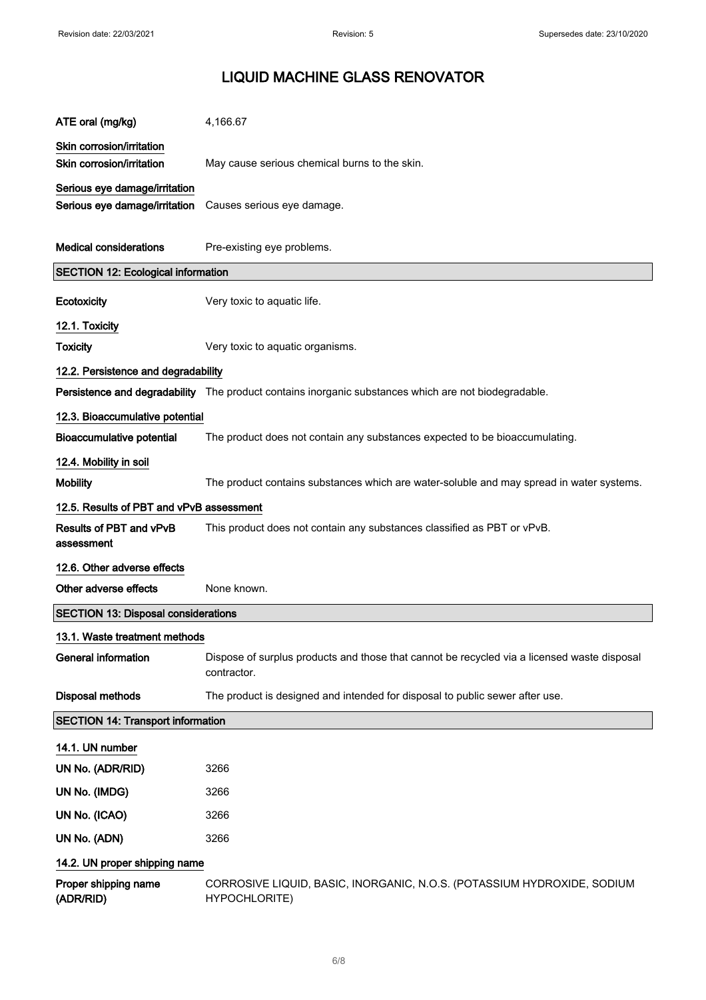| ATE oral (mg/kg)                                               | 4,166.67                                                                                                   |
|----------------------------------------------------------------|------------------------------------------------------------------------------------------------------------|
| Skin corrosion/irritation<br>Skin corrosion/irritation         | May cause serious chemical burns to the skin.                                                              |
| Serious eye damage/irritation<br>Serious eye damage/irritation | Causes serious eye damage.                                                                                 |
| <b>Medical considerations</b>                                  | Pre-existing eye problems.                                                                                 |
| <b>SECTION 12: Ecological information</b>                      |                                                                                                            |
| Ecotoxicity                                                    | Very toxic to aquatic life.                                                                                |
| 12.1. Toxicity                                                 |                                                                                                            |
| <b>Toxicity</b>                                                | Very toxic to aquatic organisms.                                                                           |
| 12.2. Persistence and degradability                            |                                                                                                            |
|                                                                | Persistence and degradability The product contains inorganic substances which are not biodegradable.       |
| 12.3. Bioaccumulative potential                                |                                                                                                            |
| <b>Bioaccumulative potential</b>                               | The product does not contain any substances expected to be bioaccumulating.                                |
| 12.4. Mobility in soil                                         |                                                                                                            |
| <b>Mobility</b>                                                | The product contains substances which are water-soluble and may spread in water systems.                   |
| 12.5. Results of PBT and vPvB assessment                       |                                                                                                            |
| <b>Results of PBT and vPvB</b><br>assessment                   | This product does not contain any substances classified as PBT or vPvB.                                    |
| 12.6. Other adverse effects                                    |                                                                                                            |
| Other adverse effects                                          | None known.                                                                                                |
| <b>SECTION 13: Disposal considerations</b>                     |                                                                                                            |
| 13.1. Waste treatment methods                                  |                                                                                                            |
| <b>General information</b>                                     | Dispose of surplus products and those that cannot be recycled via a licensed waste disposal<br>contractor. |
| <b>Disposal methods</b>                                        | The product is designed and intended for disposal to public sewer after use.                               |
| <b>SECTION 14: Transport information</b>                       |                                                                                                            |
| 14.1. UN number                                                |                                                                                                            |
| UN No. (ADR/RID)                                               | 3266                                                                                                       |
| UN No. (IMDG)                                                  | 3266                                                                                                       |
| UN No. (ICAO)                                                  | 3266                                                                                                       |
| UN No. (ADN)                                                   | 3266                                                                                                       |
| 14.2. UN proper shipping name                                  |                                                                                                            |
| Proper shipping name<br>(ADR/RID)                              | CORROSIVE LIQUID, BASIC, INORGANIC, N.O.S. (POTASSIUM HYDROXIDE, SODIUM<br>HYPOCHLORITE)                   |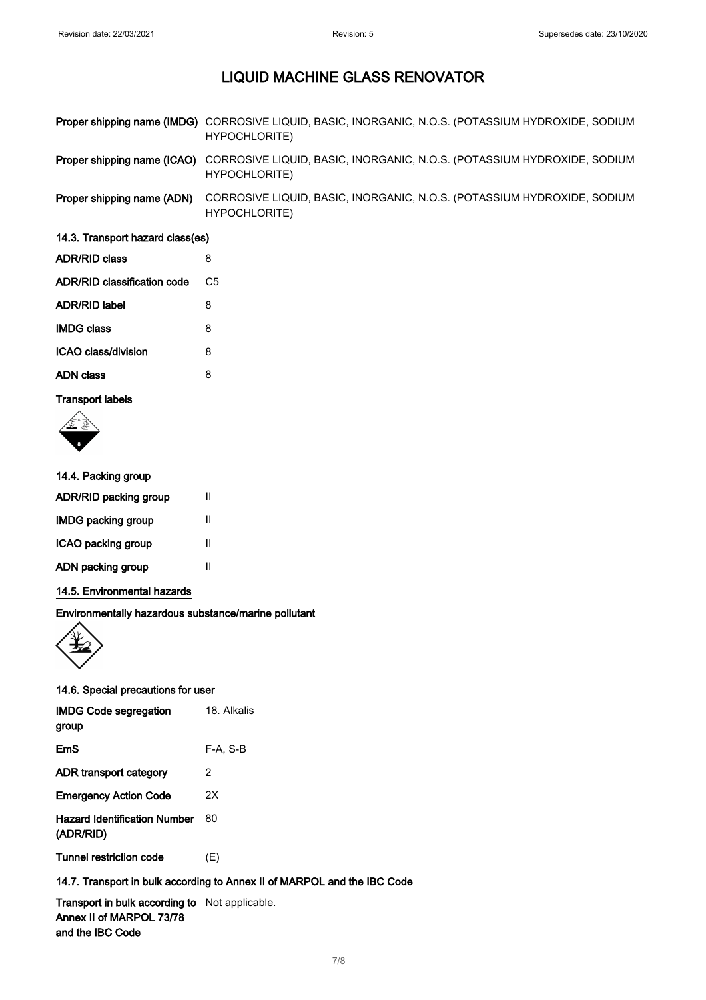|                            | Proper shipping name (IMDG) CORROSIVE LIQUID, BASIC, INORGANIC, N.O.S. (POTASSIUM HYDROXIDE, SODIUM<br>HYPOCHLORITE) |
|----------------------------|----------------------------------------------------------------------------------------------------------------------|
|                            | Proper shipping name (ICAO) CORROSIVE LIQUID, BASIC, INORGANIC, N.O.S. (POTASSIUM HYDROXIDE, SODIUM<br>HYPOCHLORITE) |
| Proper shipping name (ADN) | CORROSIVE LIQUID, BASIC, INORGANIC, N.O.S. (POTASSIUM HYDROXIDE, SODIUM<br>HYPOCHLORITE)                             |

## 14.3. Transport hazard class(es)

| <b>ADR/RID class</b>        | 8  |  |
|-----------------------------|----|--|
| ADR/RID classification code | C5 |  |
| ADR/RID label               | 8  |  |
| <b>IMDG class</b>           | 8  |  |
| ICAO class/division         | 8  |  |
| ADN class                   | 8  |  |
|                             |    |  |

## Transport labels



| Ш |
|---|
| Ш |
| Ш |
| Ш |
|   |

## 14.5. Environmental hazards

Environmentally hazardous substance/marine pollutant



| <b>IMDG Code segregation</b><br>group            | 18. Alkalis |
|--------------------------------------------------|-------------|
| <b>EmS</b>                                       | F-A, S-B    |
| ADR transport category                           | 2           |
| <b>Emergency Action Code</b>                     | 2X          |
| <b>Hazard Identification Number</b><br>(ADR/RID) | 80          |
| Tunnel restriction code                          | (E)         |

## 14.7. Transport in bulk according to Annex II of MARPOL and the IBC Code

Transport in bulk according to Not applicable. Annex II of MARPOL 73/78 and the IBC Code